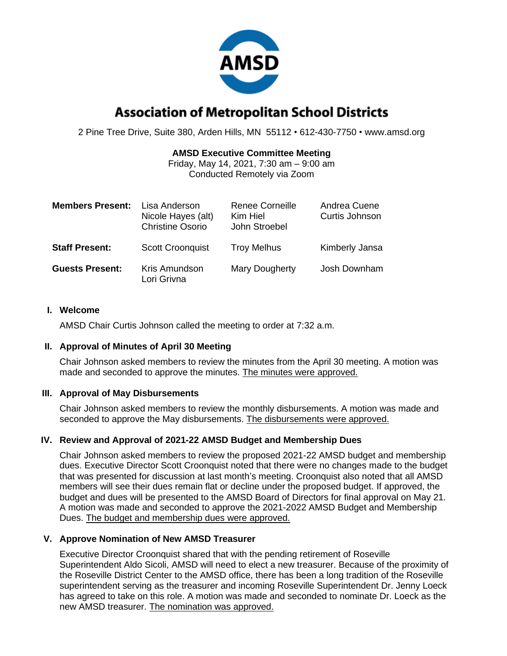

# **Association of Metropolitan School Districts**

2 Pine Tree Drive, Suite 380, Arden Hills, MN 55112 • 612-430-7750 • www.amsd.org

### **AMSD Executive Committee Meeting**

Friday, May 14, 2021, 7:30 am – 9:00 am Conducted Remotely via Zoom

| <b>Members Present:</b> | Lisa Anderson<br>Nicole Hayes (alt)<br><b>Christine Osorio</b> | <b>Renee Corneille</b><br>Kim Hiel<br>John Stroebel | Andrea Cuene<br>Curtis Johnson |
|-------------------------|----------------------------------------------------------------|-----------------------------------------------------|--------------------------------|
| <b>Staff Present:</b>   | <b>Scott Croonquist</b>                                        | <b>Troy Melhus</b>                                  | Kimberly Jansa                 |
| <b>Guests Present:</b>  | Kris Amundson<br>Lori Grivna                                   | Mary Dougherty                                      | Josh Downham                   |

#### **I. Welcome**

AMSD Chair Curtis Johnson called the meeting to order at 7:32 a.m.

#### **II. Approval of Minutes of April 30 Meeting**

Chair Johnson asked members to review the minutes from the April 30 meeting. A motion was made and seconded to approve the minutes. The minutes were approved.

#### **III. Approval of May Disbursements**

Chair Johnson asked members to review the monthly disbursements. A motion was made and seconded to approve the May disbursements. The disbursements were approved.

#### **IV. Review and Approval of 2021-22 AMSD Budget and Membership Dues**

Chair Johnson asked members to review the proposed 2021-22 AMSD budget and membership dues. Executive Director Scott Croonquist noted that there were no changes made to the budget that was presented for discussion at last month's meeting. Croonquist also noted that all AMSD members will see their dues remain flat or decline under the proposed budget. If approved, the budget and dues will be presented to the AMSD Board of Directors for final approval on May 21. A motion was made and seconded to approve the 2021-2022 AMSD Budget and Membership Dues. The budget and membership dues were approved.

#### **V. Approve Nomination of New AMSD Treasurer**

Executive Director Croonquist shared that with the pending retirement of Roseville Superintendent Aldo Sicoli, AMSD will need to elect a new treasurer. Because of the proximity of the Roseville District Center to the AMSD office, there has been a long tradition of the Roseville superintendent serving as the treasurer and incoming Roseville Superintendent Dr. Jenny Loeck has agreed to take on this role. A motion was made and seconded to nominate Dr. Loeck as the new AMSD treasurer. The nomination was approved.